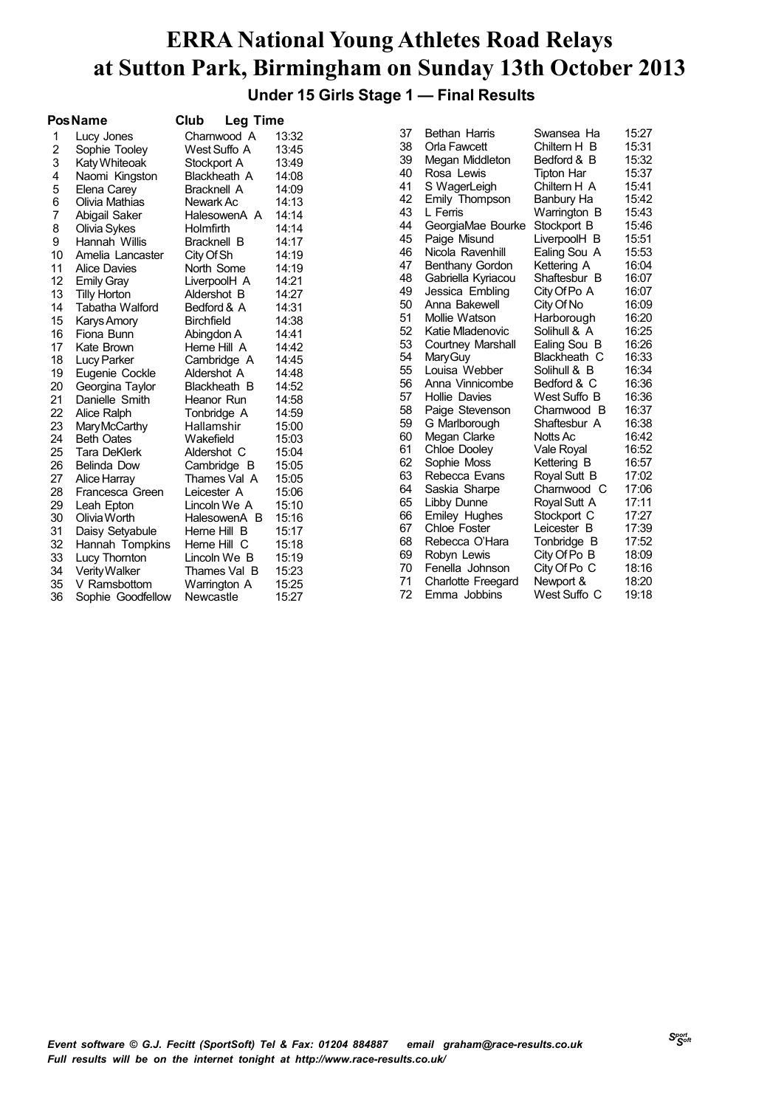#### **ERRA National Young Athletes Road Relays at Sutton Park, Birmingham on Sunday 13th October 2013 Under 15 Girls Stage 1 — Final Results**

|    | <b>PosName</b>         | Club               | Leg Time     |       |    |          |                           |                   |       |
|----|------------------------|--------------------|--------------|-------|----|----------|---------------------------|-------------------|-------|
| 1  | Lucy Jones             |                    | Charnwood A  | 13:32 | 37 |          | <b>Bethan Harris</b>      | Swansea Ha        | 15:27 |
| 2  | Sophie Tooley          |                    | West Suffo A | 13:45 | 38 |          | Orla Fawcett              | Chiltern H B      | 15:31 |
| 3  | Katy Whiteoak          | Stockport A        |              | 13:49 | 39 |          | Megan Middleton           | Bedford & B       | 15:32 |
| 4  | Naomi Kingston         |                    | Blackheath A | 14:08 | 40 |          | Rosa Lewis                | <b>Tipton Har</b> | 15:37 |
| 5  | Elena Carey            | <b>Bracknell A</b> |              | 14:09 | 41 |          | S WagerLeigh              | Chiltern H A      | 15:41 |
| 6  | Olivia Mathias         | Newark Ac          |              | 14:13 | 42 |          | Emily Thompson            | Banbury Ha        | 15:42 |
| 7  | Abigail Saker          |                    | HalesowenA A | 14:14 | 43 | L Ferris |                           | Warrington B      | 15:43 |
| 8  | Olivia Sykes           | Holmfirth          |              | 14:14 | 44 |          | GeorgiaMae Bourke         | Stockport B       | 15:46 |
| 9  | Hannah Willis          | <b>Bracknell B</b> |              | 14:17 | 45 |          | Paige Misund              | LiverpoolH B      | 15:51 |
| 10 | Amelia Lancaster       | City Of Sh         |              | 14:19 | 46 |          | Nicola Ravenhill          | Ealing Sou A      | 15:53 |
| 11 | <b>Alice Davies</b>    | North Some         |              | 14:19 | 47 |          | Benthany Gordon           | Kettering A       | 16:04 |
| 12 | <b>Emily Gray</b>      |                    | LiverpoolH A | 14:21 | 48 |          | Gabriella Kyriacou        | Shaftesbur B      | 16:07 |
| 13 | <b>Tilly Horton</b>    | Aldershot B        |              | 14:27 | 49 |          | Jessica Embling           | City Of Po A      | 16:07 |
| 14 | <b>Tabatha Walford</b> | Bedford & A        |              | 14:31 | 50 |          | Anna Bakewell             | City Of No        | 16:09 |
| 15 | Karys Amory            | <b>Birchfield</b>  |              | 14:38 | 51 |          | Mollie Watson             | Harborough        | 16:20 |
| 16 | Fiona Bunn             | Abingdon A         |              | 14:41 | 52 |          | Katie Mladenovic          | Solihull & A      | 16:25 |
| 17 | Kate Brown             | Herne Hill A       |              | 14:42 | 53 |          | Courtney Marshall         | Ealing Sou B      | 16:26 |
| 18 | Lucy Parker            |                    | Cambridge A  | 14:45 | 54 |          | Mary Guy                  | Blackheath C      | 16:33 |
| 19 | Eugenie Cockle         | Aldershot A        |              | 14:48 | 55 |          | Louisa Webber             | Solihull & B      | 16:34 |
| 20 | Georgina Taylor        |                    | Blackheath B | 14:52 | 56 |          | Anna Vinnicombe           | Bedford & C       | 16:36 |
| 21 | Danielle Smith         | Heanor Run         |              | 14:58 | 57 |          | <b>Hollie Davies</b>      | West Suffo B      | 16:36 |
| 22 | Alice Ralph            | Tonbridge A        |              | 14:59 | 58 |          | Paige Stevenson           | Charnwood B       | 16:37 |
| 23 | Mary McCarthy          | Hallamshir         |              | 15:00 | 59 |          | G Marlborough             | Shaftesbur A      | 16:38 |
| 24 | <b>Beth Oates</b>      | Wakefield          |              | 15:03 | 60 |          | Megan Clarke              | Notts Ac          | 16:42 |
| 25 | Tara DeKlerk           | Aldershot C        |              | 15:04 | 61 |          | Chloe Dooley              | Vale Royal        | 16:52 |
| 26 | <b>Belinda Dow</b>     |                    | Cambridge B  | 15:05 | 62 |          | Sophie Moss               | Kettering B       | 16:57 |
| 27 | Alice Harray           |                    | Thames Val A | 15:05 | 63 |          | Rebecca Evans             | Royal Sutt B      | 17:02 |
| 28 | Francesca Green        | Leicester A        |              | 15:06 | 64 |          | Saskia Sharpe             | Charnwood C       | 17:06 |
| 29 | Leah Epton             |                    | Lincoln We A | 15:10 | 65 |          | Libby Dunne               | Royal Sutt A      | 17:11 |
| 30 | Olivia Worth           |                    | HalesowenA B | 15:16 | 66 |          | Emiley Hughes             | Stockport C       | 17:27 |
| 31 | Daisy Setyabule        | Herne Hill B       |              | 15:17 | 67 |          | <b>Chloe Foster</b>       | Leicester B       | 17:39 |
| 32 | Hannah Tompkins        | Herne Hill C       |              | 15:18 | 68 |          | Rebecca O'Hara            | Tonbridge B       | 17:52 |
| 33 | Lucy Thornton          |                    | Lincoln We B | 15:19 | 69 |          | Robyn Lewis               | City Of Po B      | 18:09 |
| 34 | Verity Walker          |                    | Thames Val B | 15:23 | 70 |          | Fenella Johnson           | City Of Po C      | 18:16 |
| 35 | V Ramsbottom           |                    | Warrington A | 15:25 | 71 |          | <b>Charlotte Freegard</b> | Newport &         | 18:20 |
| 36 | Sophie Goodfellow      | Newcastle          |              | 15:27 | 72 |          | Emma Jobbins              | West Suffo C      | 19:18 |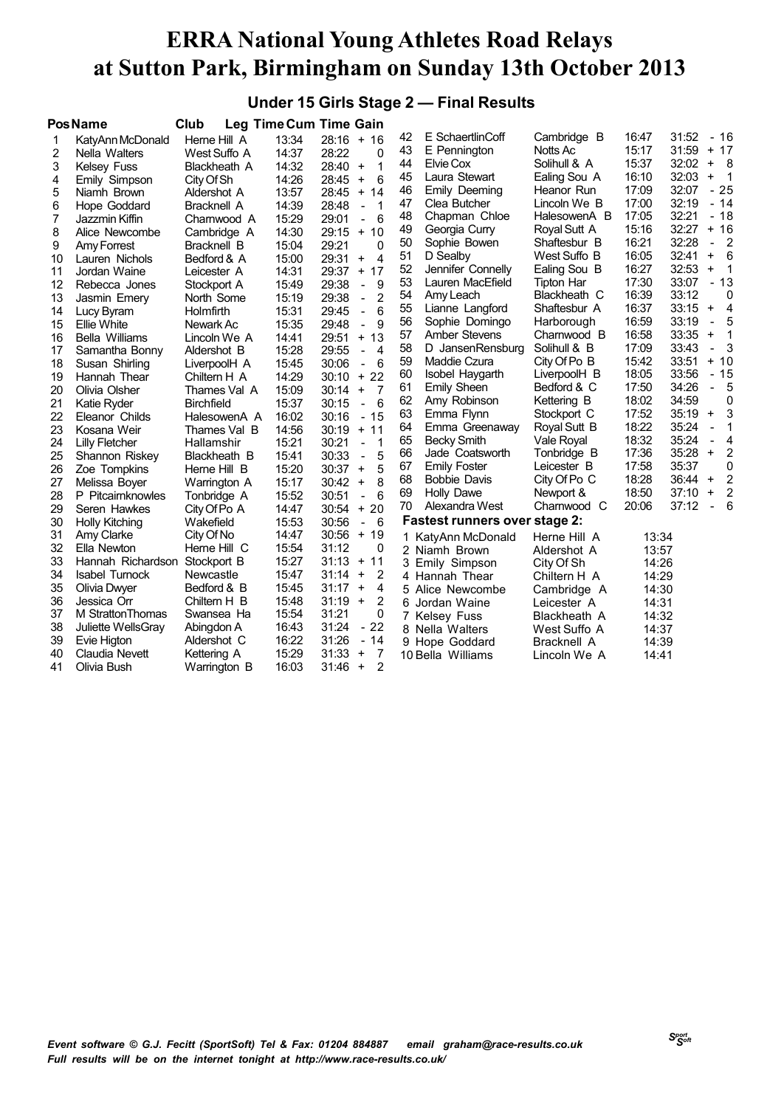#### **Under 15 Girls Stage 2 — Final Results**

|    | <b>PosName</b>        | Club               |       | Leg Time Cum Time Gain                              |    |                                      |                     |       |       |                                  |                            |
|----|-----------------------|--------------------|-------|-----------------------------------------------------|----|--------------------------------------|---------------------|-------|-------|----------------------------------|----------------------------|
| 1  | KatyAnn McDonald      | Herne Hill A       | 13:34 | $28:16 + 16$                                        | 42 | E SchaertlinCoff                     | Cambridge B         | 16:47 | 31:52 | $-16$                            |                            |
| 2  | Nella Walters         | West Suffo A       | 14:37 | 28:22<br>0                                          | 43 | E Pennington                         | Notts Ac            | 15:17 | 31:59 | $+ 17$                           |                            |
| 3  | Kelsey Fuss           | Blackheath A       | 14:32 | 1<br>28:40<br>$\ddot{}$                             | 44 | Elvie Cox                            | Solihull & A        | 15:37 | 32:02 | $+ 8$                            |                            |
| 4  | Emily Simpson         | City Of Sh         | 14:26 | 6<br>$\ddot{}$<br>28:45                             | 45 | Laura Stewart                        | Ealing Sou A        | 16:10 | 32:03 | $\begin{array}{c} + \end{array}$ | $\overline{1}$             |
| 5  | Niamh Brown           | Aldershot A        | 13:57 | $+$<br>14<br>28:45                                  | 46 | Emily Deeming                        | Heanor Run          | 17:09 | 32:07 | $-25$                            |                            |
| 6  | Hope Goddard          | <b>Bracknell A</b> | 14:39 | 28:48<br>1<br>$\blacksquare$                        | 47 | Clea Butcher                         | Lincoln We B        | 17:00 | 32:19 | $-14$                            |                            |
| 7  | Jazzmin Kiffin        | Charnwood A        | 15:29 | 6<br>29:01<br>$\overline{a}$                        | 48 | Chapman Chloe                        | HalesowenA B        | 17:05 | 32:21 | $-18$                            |                            |
| 8  | Alice Newcombe        | Cambridge A        | 14:30 | 29:15<br>$+10$                                      | 49 | Georgia Curry                        | Royal Sutt A        | 15:16 | 32:27 | $+16$                            |                            |
| 9  | Amy Forrest           | Bracknell B        | 15:04 | 29:21<br>0                                          | 50 | Sophie Bowen                         | Shaftesbur B        | 16:21 | 32:28 | $\bar{\phantom{a}}$              | $\overline{\phantom{0}}^2$ |
| 10 | Lauren Nichols        | Bedford & A        | 15:00 | $\overline{4}$<br>29:31<br>$\ddot{}$                | 51 | D Sealby                             | West Suffo B        | 16:05 | 32:41 | $\ddot{}$                        | - 6                        |
| 11 | Jordan Waine          | Leicester A        | 14:31 | 29:37<br>17<br>$+$                                  | 52 | Jennifer Connelly                    | Ealing Sou B        | 16:27 | 32:53 | $\ddot{}$                        | $\overline{1}$             |
| 12 | Rebecca Jones         | Stockport A        | 15:49 | 29:38<br>9<br>$\Box$                                | 53 | Lauren MacEfield                     | <b>Tipton Har</b>   | 17:30 | 33:07 | $-13$                            |                            |
| 13 | Jasmin Emery          | North Some         | 15:19 | $\overline{2}$<br>29:38<br>$\overline{a}$           | 54 | Amy Leach                            | Blackheath C        | 16:39 | 33:12 |                                  | 0                          |
| 14 | Lucy Byram            | Holmfirth          | 15:31 | 6<br>29:45<br>$\blacksquare$                        | 55 | Lianne Langford                      | Shaftesbur A        | 16:37 | 33:15 | $\ddot{}$                        | $\overline{4}$             |
| 15 | <b>Ellie White</b>    | Newark Ac          | 15:35 | 9<br>29:48<br>$\overline{a}$                        | 56 | Sophie Domingo                       | Harborough          | 16:59 | 33:19 | $\blacksquare$                   | 5                          |
| 16 | <b>Bella Williams</b> | Lincoln We A       | 14:41 | $+ 13$<br>29:51                                     | 57 | <b>Amber Stevens</b>                 | Charnwood B         | 16:58 | 33:35 | $\begin{array}{c} + \end{array}$ | $\mathbf 1$                |
| 17 | Samantha Bonny        | Aldershot B        | 15:28 | $\overline{4}$<br>29:55<br>$\overline{\phantom{a}}$ | 58 | D JansenRensburg                     | Solihull & B        | 17:09 | 33:43 | $\overline{a}$                   | 3                          |
| 18 | Susan Shirling        | LiverpoolH A       | 15:45 | 6<br>30:06<br>$\blacksquare$                        | 59 | Maddie Czura                         | City Of Po B        | 15:42 | 33:51 | $+ 10$                           |                            |
| 19 | Hannah Thear          | Chiltern H A       | 14:29 | 22<br>30:10<br>$+$                                  | 60 | Isobel Haygarth                      | LiverpoolH B        | 18:05 | 33:56 | $-15$                            |                            |
| 20 | Olivia Olsher         | Thames Val A       | 15:09 | $\ddot{}$<br>$\overline{7}$<br>30:14                | 61 | Emily Sheen                          | Bedford & C         | 17:50 | 34:26 | $\overline{\phantom{0}}$         | 5                          |
| 21 | Katie Ryder           | <b>Birchfield</b>  | 15:37 | 6<br>30:15<br>$\overline{a}$                        | 62 | Amy Robinson                         | Kettering B         | 18:02 | 34:59 |                                  | 0                          |
| 22 | Eleanor Childs        | HalesowenA A       | 16:02 | $-15$<br>30:16                                      | 63 | Emma Flynn                           | Stockport C         | 17:52 | 35:19 | $\ddot{}$                        | 3                          |
| 23 | Kosana Weir           | Thames Val B       | 14:56 | $+$<br>11<br>30:19                                  | 64 | Emma Greenaway                       | <b>Royal Sutt B</b> | 18:22 | 35:24 | $\blacksquare$                   | $\mathbf{1}$               |
| 24 | <b>Lilly Fletcher</b> | Hallamshir         | 15:21 | 30:21<br>$\mathbf 1$<br>$\blacksquare$              | 65 | <b>Becky Smith</b>                   | Vale Royal          | 18:32 | 35:24 | $\overline{\phantom{a}}$         | 4                          |
| 25 | Shannon Riskey        | Blackheath B       | 15:41 | 5<br>30:33<br>$\overline{\phantom{a}}$              | 66 | Jade Coatsworth                      | Tonbridge B         | 17:36 | 35:28 | $\ddot{}$                        | 2                          |
| 26 | Zoe Tompkins          | Herne Hill B       | 15:20 | 5<br>30:37<br>$\ddot{}$                             | 67 | <b>Emily Foster</b>                  | Leicester B         | 17:58 | 35:37 |                                  | 0                          |
| 27 | Melissa Boyer         | Warrington A       | 15:17 | 8<br>$\ddot{}$<br>30:42                             | 68 | <b>Bobbie Davis</b>                  | City Of Po C        | 18:28 | 36:44 | $\ddot{}$                        | 2                          |
| 28 | P Pitcairnknowles     | Tonbridge A        | 15:52 | 6<br>30:51<br>$\overline{a}$                        | 69 | <b>Holly Dawe</b>                    | Newport &           | 18:50 | 37:10 | $\begin{array}{c} + \end{array}$ | $\overline{2}$             |
| 29 | Seren Hawkes          | City Of Po A       | 14:47 | 20<br>30:54<br>$+$                                  | 70 | Alexandra West                       | Charnwood C         | 20:06 | 37:12 | $\overline{\phantom{a}}$         | 6                          |
| 30 | <b>Holly Kitching</b> | Wakefield          | 15:53 | 30:56<br>- 6<br>$\overline{\phantom{a}}$            |    | <b>Fastest runners over stage 2:</b> |                     |       |       |                                  |                            |
| 31 | Amy Clarke            | City Of No         | 14:47 | $+19$<br>30:56                                      |    | 1 KatyAnn McDonald                   | Herne Hill A        | 13:34 |       |                                  |                            |
| 32 | Ella Newton           | Herne Hill C       | 15:54 | 31:12<br>0                                          |    | 2 Niamh Brown                        | Aldershot A         | 13:57 |       |                                  |                            |
| 33 | Hannah Richardson     | Stockport B        | 15:27 | 31:13<br>$+$<br>11                                  | 3  | Emily Simpson                        | City Of Sh          | 14:26 |       |                                  |                            |
| 34 | <b>Isabel Turnock</b> | Newcastle          | 15:47 | $\overline{2}$<br>$\ddot{}$<br>31:14                |    | 4 Hannah Thear                       | Chiltern H A        | 14:29 |       |                                  |                            |
| 35 | Olivia Dwyer          | Bedford & B        | 15:45 | $\ddot{}$<br>4<br>31:17                             |    | 5 Alice Newcombe                     | Cambridge A         | 14:30 |       |                                  |                            |
| 36 | Jessica Orr           | Chiltern H B       | 15:48 | 2<br>31:19<br>$+$                                   |    | 6 Jordan Waine                       | Leicester A         | 14:31 |       |                                  |                            |
| 37 | M Stratton Thomas     | Swansea Ha         | 15:54 | 31:21<br>0                                          |    | <b>Kelsey Fuss</b>                   | Blackheath A        | 14:32 |       |                                  |                            |
| 38 | Juliette WellsGray    | Abingdon A         | 16:43 | 31:24<br>$-22$                                      |    | 8 Nella Walters                      | West Suffo A        | 14:37 |       |                                  |                            |
| 39 | Evie Higton           | Aldershot C        | 16:22 | 31:26<br>$-14$                                      |    | 9 Hope Goddard                       | Bracknell A         | 14:39 |       |                                  |                            |
| 40 | Claudia Nevett        | Kettering A        | 15:29 | 31:33<br>$\overline{7}$<br>$\ddot{}$                |    | 10 Bella Williams                    | Lincoln We A        | 14:41 |       |                                  |                            |
| 41 | Olivia Bush           | Warrington B       | 16:03 | 2<br>31:46<br>$\ddot{}$                             |    |                                      |                     |       |       |                                  |                            |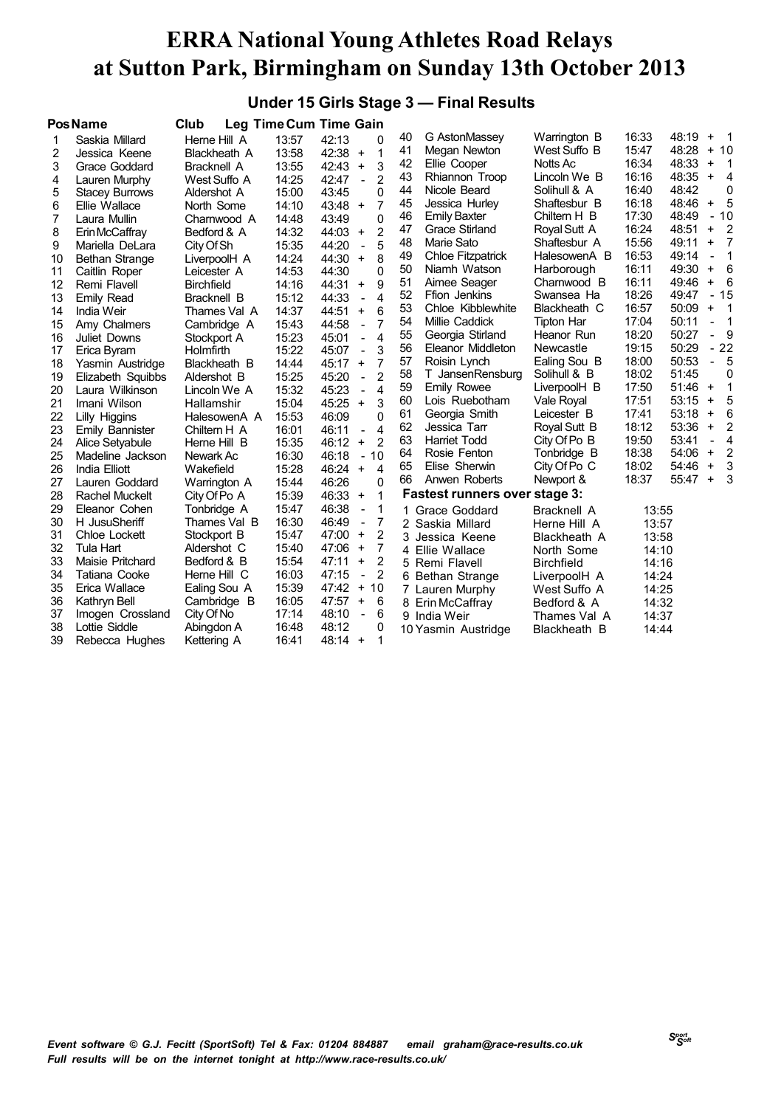#### **Under 15 Girls Stage 3 — Final Results**

|    | <b>PosName</b>         | Club               |       | Leg Time Cum Time Gain                              |    |                                      |                     |       |       |                                  |                            |
|----|------------------------|--------------------|-------|-----------------------------------------------------|----|--------------------------------------|---------------------|-------|-------|----------------------------------|----------------------------|
| 1  | Saskia Millard         | Herne Hill A       | 13:57 | 42:13<br>0                                          | 40 | G AstonMassey                        | Warrington B        | 16:33 | 48:19 | $\ddot{}$                        | $\overline{\phantom{0}}$ 1 |
| 2  | Jessica Keene          | Blackheath A       | 13:58 | 42:38<br>1<br>$\ddot{}$                             | 41 | Megan Newton                         | West Suffo B        | 15:47 | 48:28 |                                  | $+10$                      |
| 3  | Grace Goddard          | <b>Bracknell A</b> | 13:55 | 3<br>42:43<br>$\ddot{}$                             | 42 | Ellie Cooper                         | Notts Ac            | 16:34 | 48:33 | $\ddot{}$                        | $\overline{1}$             |
| 4  | Lauren Murphy          | West Suffo A       | 14:25 | $\overline{2}$<br>42:47<br>$\overline{a}$           | 43 | Rhiannon Troop                       | Lincoln We B        | 16:16 | 48:35 | $\ddot{}$                        | $\overline{\mathbf{4}}$    |
| 5  | <b>Stacey Burrows</b>  | Aldershot A        | 15:00 | 0<br>43:45                                          | 44 | Nicole Beard                         | Solihull & A        | 16:40 | 48:42 |                                  | 0                          |
| 6  | Ellie Wallace          | North Some         | 14:10 | $\overline{7}$<br>43:48<br>$+$                      | 45 | Jessica Hurley                       | Shaftesbur B        | 16:18 | 48:46 | $\ddot{}$                        | 5                          |
| 7  | Laura Mullin           | Charnwood A        | 14:48 | 0<br>43:49                                          | 46 | <b>Emily Baxter</b>                  | Chiltern H B        | 17:30 | 48:49 |                                  | $-10$                      |
| 8  | Erin McCaffray         | Bedford & A        | 14:32 | 2<br>44:03<br>$+$                                   | 47 | <b>Grace Stirland</b>                | Royal Sutt A        | 16:24 | 48:51 | $\ddot{}$                        | $\overline{2}$             |
| 9  | Mariella DeLara        | City Of Sh         | 15:35 | 5<br>44:20                                          | 48 | Marie Sato                           | Shaftesbur A        | 15:56 | 49:11 | $\ddot{}$                        | $\overline{7}$             |
| 10 | Bethan Strange         | LiverpoolH A       | 14:24 | 8<br>44:30<br>$\ddot{}$                             | 49 | Chloe Fitzpatrick                    | HalesowenA B        | 16:53 | 49:14 | $\overline{\phantom{a}}$         | $\mathbf 1$                |
| 11 | Caitlin Roper          | Leicester A        | 14:53 | 0<br>44:30                                          | 50 | Niamh Watson                         | Harborough          | 16:11 | 49:30 | $\ddot{}$                        | $6\overline{6}$            |
| 12 | Remi Flavell           | <b>Birchfield</b>  | 14:16 | 9<br>44:31<br>$\ddot{}$                             | 51 | Aimee Seager                         | Charnwood B         | 16:11 | 49:46 | $\ddot{}$                        | - 6                        |
| 13 | Emily Read             | Bracknell B        | 15:12 | $\overline{\mathbf{A}}$<br>44:33<br>$\overline{a}$  | 52 | Ffion Jenkins                        | Swansea Ha          | 18:26 | 49:47 |                                  | $-15$                      |
| 14 | India Weir             | Thames Val A       | 14:37 | 6<br>44:51<br>$\ddot{}$                             | 53 | Chloe Kibblewhite                    | Blackheath C        | 16:57 | 50:09 | $\ddot{}$                        | - 1                        |
| 15 | Amy Chalmers           | Cambridge A        | 15:43 | 7<br>44:58<br>$\overline{a}$                        | 54 | Millie Caddick                       | <b>Tipton Har</b>   | 17:04 | 50:11 | $\overline{\phantom{0}}$         | $\overline{\phantom{0}}$ 1 |
| 16 | <b>Juliet Downs</b>    | Stockport A        | 15:23 | $\overline{\mathbf{A}}$<br>45:01<br>$\overline{a}$  | 55 | Georgia Stirland                     | Heanor Run          | 18:20 | 50:27 |                                  | $-9$                       |
| 17 | Erica Byram            | Holmfirth          | 15:22 | 45:07<br>3<br>$\overline{a}$                        | 56 | Eleanor Middleton                    | Newcastle           | 19:15 | 50:29 |                                  | $-22$                      |
| 18 | Yasmin Austridge       | Blackheath B       | 14:44 | $\overline{7}$<br>45:17<br>$\ddot{}$                | 57 | Roisin Lynch                         | Ealing Sou B        | 18:00 | 50:53 | $\blacksquare$                   | 5                          |
| 19 | Elizabeth Squibbs      | Aldershot B        | 15:25 | $\overline{2}$<br>45:20<br>$\overline{\phantom{a}}$ | 58 | T JansenRensburg                     | Solihull & B        | 18:02 | 51:45 |                                  | 0                          |
| 20 | Laura Wilkinson        | Lincoln We A       | 15:32 | 45:23<br>4<br>$\overline{a}$                        | 59 | <b>Emily Rowee</b>                   | LiverpoolH B        | 17:50 | 51:46 | $\ddot{}$                        | 1                          |
| 21 | Imani Wilson           | Hallamshir         | 15:04 | 3<br>45:25<br>$\ddot{}$                             | 60 | Lois Ruebotham                       | Vale Royal          | 17:51 | 53:15 | $\ddot{}$                        | 5                          |
| 22 | Lilly Higgins          | HalesowenA A       | 15:53 | 0<br>46:09                                          | 61 | Georgia Smith                        | Leicester B         | 17:41 | 53:18 | $\begin{array}{c} + \end{array}$ | 6                          |
| 23 | <b>Emily Bannister</b> | Chiltern H A       | 16:01 | 4<br>46:11<br>$\overline{\phantom{a}}$              | 62 | Jessica Tarr                         | <b>Royal Sutt B</b> | 18:12 | 53:36 | $\ddot{}$                        | $\overline{2}$             |
| 24 | Alice Setyabule        | Herne Hill B       | 15:35 | $\overline{2}$<br>$\ddot{}$<br>46:12                | 63 | <b>Harriet Todd</b>                  | City Of Po B        | 19:50 | 53:41 | $\blacksquare$                   | $\overline{4}$             |
| 25 | Madeline Jackson       | Newark Ac          | 16:30 | 10<br>46:18<br>$\overline{\phantom{0}}$             | 64 | Rosie Fenton                         | Tonbridge B         | 18:38 | 54:06 | $\ddag$                          | $\overline{2}$             |
| 26 | India Elliott          | Wakefield          | 15:28 | 46:24<br>$+$<br>4                                   | 65 | Elise Sherwin                        | City Of Po C        | 18:02 | 54:46 | $\ddot{}$                        | 3                          |
| 27 | Lauren Goddard         | Warrington A       | 15:44 | 46:26<br>0                                          | 66 | Anwen Roberts                        | Newport &           | 18:37 | 55:47 | $\ddag$                          | 3                          |
| 28 | Rachel Muckelt         | City Of Po A       | 15:39 | 46:33<br>1<br>$+$                                   |    | <b>Fastest runners over stage 3:</b> |                     |       |       |                                  |                            |
| 29 | Eleanor Cohen          | Tonbridge A        | 15:47 | 46:38<br>1<br>$\qquad \qquad \blacksquare$          | 1. | Grace Goddard                        | <b>Bracknell A</b>  | 13:55 |       |                                  |                            |
| 30 | H JusuSheriff          | Thames Val B       | 16:30 | 46:49<br>7<br>$\blacksquare$                        |    | 2 Saskia Millard                     | Herne Hill A        | 13:57 |       |                                  |                            |
| 31 | Chloe Lockett          | Stockport B        | 15:47 | 47:00<br>2<br>$\ddot{}$                             | 3  | Jessica Keene                        | Blackheath A        | 13:58 |       |                                  |                            |
| 32 | Tula Hart              | Aldershot C        | 15:40 | 7<br>47:06<br>$+$                                   | 4  | Ellie Wallace                        | North Some          | 14:10 |       |                                  |                            |
| 33 | Maisie Pritchard       | Bedford & B        | 15:54 | $\overline{2}$<br>47:11<br>$\ddot{}$                |    | 5 Remi Flavell                       | <b>Birchfield</b>   | 14:16 |       |                                  |                            |
| 34 | Tatiana Cooke          | Herne Hill C       | 16:03 | $\overline{2}$<br>47:15<br>$\overline{a}$           |    | 6 Bethan Strange                     | LiverpoolH A        | 14:24 |       |                                  |                            |
| 35 | Erica Wallace          | Ealing Sou A       | 15:39 | 47:42<br>$+$<br>10                                  |    | 7 Lauren Murphy                      | West Suffo A        | 14:25 |       |                                  |                            |
| 36 | Kathryn Bell           | Cambridge B        | 16:05 | 47:57<br>$+$<br>6                                   |    | 8 Erin McCaffray                     | Bedford & A         | 14:32 |       |                                  |                            |
| 37 | Imogen Crossland       | City Of No         | 17:14 | 6<br>48:10<br>$\qquad \qquad \blacksquare$          |    | 9 India Weir                         | Thames Val A        | 14:37 |       |                                  |                            |
| 38 | Lottie Siddle          | Abingdon A         | 16:48 | 48:12<br>0                                          |    | 10 Yasmin Austridge                  | Blackheath B        | 14:44 |       |                                  |                            |
| 39 | Rebecca Hughes         | Kettering A        | 16:41 | $48:14 +$<br>1                                      |    |                                      |                     |       |       |                                  |                            |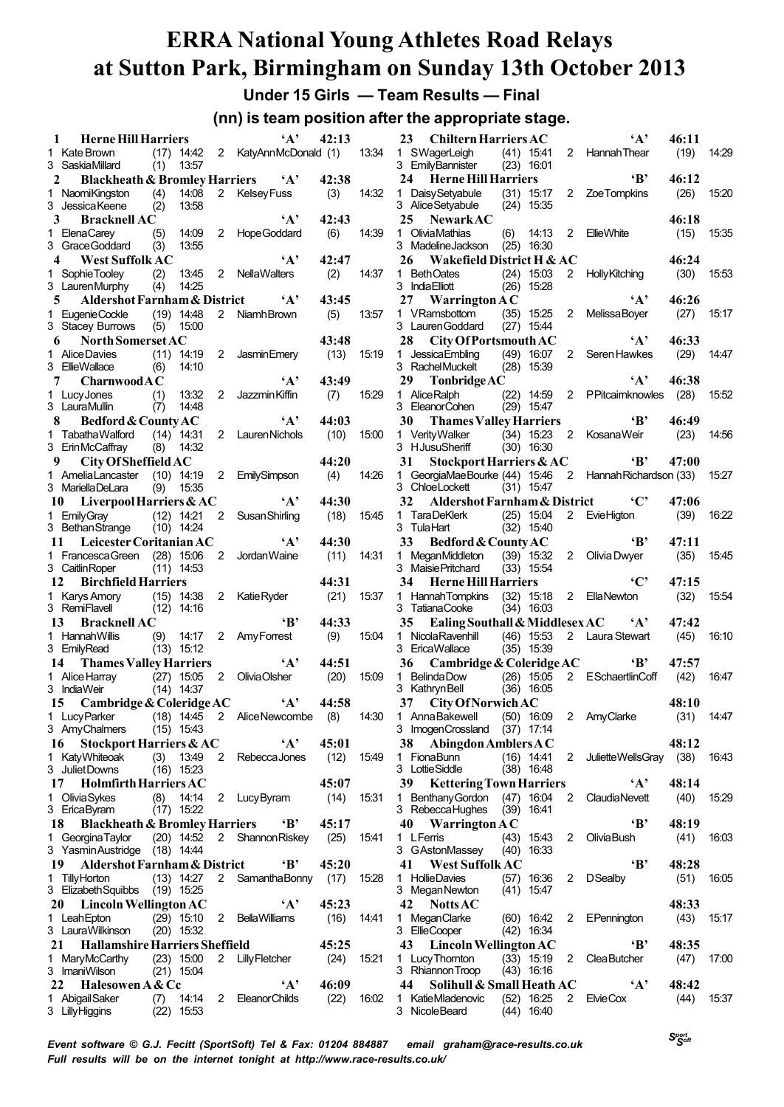**Under 15 Girls — Team Results — Final**

**(nn) is team position after the appropriate stage.**

| <b>Herne Hill Harriers</b><br>1                |            |                       |                | $\mathbf{A}$                     | 42:13         |       | 23                                                   | <b>Chiltern Harriers AC</b>    |                              |                | $\mathbf{A}$               | 46:11         |       |
|------------------------------------------------|------------|-----------------------|----------------|----------------------------------|---------------|-------|------------------------------------------------------|--------------------------------|------------------------------|----------------|----------------------------|---------------|-------|
| 1 Kate Brown<br>3 Saskia Millard               | (1)        | $(17)$ 14:42<br>13:57 |                | 2 KatyAnnMcDonald (1)            |               | 13:34 | 1 SWagerLeigh<br>3 EmilyBannister                    |                                | $(41)$ 15:41<br>$(23)$ 16:01 |                | 2 Hannah Thear             | (19)          | 14:29 |
| <b>Blackheath &amp; Bromley Harriers</b><br>2  |            |                       |                | $\mathbf{A}$                     | 42:38         |       | 24                                                   | <b>Herne Hill Harriers</b>     |                              |                | $\mathbf{B}$               | 46:12         |       |
| 1 NaomiKingston<br>3 Jessica Keene             | (4)<br>(2) | 14:08<br>13:58        |                | 2 KelseyFuss                     | (3)           | 14:32 | <b>Daisy Setyabule</b><br>1<br>3 Alice Setyabule     |                                | $(31)$ 15:17<br>$(24)$ 15:35 | $\overline{2}$ | <b>ZoeTompkins</b>         | (26)          | 15:20 |
| 3<br><b>Bracknell AC</b>                       |            |                       |                | $\mathbf{A}$                     | 42:43         |       | 25<br><b>NewarkAC</b>                                |                                |                              |                |                            | 46:18         |       |
| 1 ElenaCarey<br>3 Grace Goddard                | (5)<br>(3) | 14:09<br>13:55        |                | 2 HopeGoddard                    | (6)           | 14:39 | Olivia Mathias<br>$\mathbf{1}$<br>3 Madeline Jackson | (6)                            | 14:13<br>$(25)$ 16:30        | $\overline{2}$ | <b>EllieWhite</b>          | (15)          | 15.35 |
| <b>West Suffolk AC</b><br>4                    |            |                       |                | $\mathbf{A}$                     | 42:47         |       | 26                                                   | Wakefield District H & AC      |                              |                |                            | 46:24         |       |
| 1 SophieTooley<br>3 LaurenMurphy               | (2)<br>(4) | 13:45<br>14:25        |                | 2 NellaWalters                   | (2)           | 14:37 | 1 Beth Oates<br>3 India Elliott                      |                                | $(24)$ 15:03<br>$(26)$ 15:28 | $2^{\circ}$    | <b>Holly Kitching</b>      | (30)          | 15:53 |
| Aldershot Farnham & District<br>5              |            |                       |                | $\mathbf{A}$                     | 43:45         |       | 27<br><b>Warrington AC</b>                           |                                |                              |                | $\mathbf{A}$               | 46:26         |       |
| 1 EugenieCockle                                |            | $(19)$ 14:48          | $\overline{2}$ | Niamh Brown                      | (5)           | 13:57 | 1 VRamsbottom                                        |                                | $(35)$ 15:25                 | $\mathbf{2}$   | Melissa Boyer              | (27)          | 15:17 |
| 3 Stacey Burrows                               | (5)        | 15:00                 |                |                                  |               |       | 3 Lauren Goddard                                     |                                | $(27)$ 15:44                 |                |                            |               |       |
| North Somerset AC<br>6                         |            |                       |                |                                  | 43:48         |       | 28                                                   | City Of Portsmouth AC          |                              |                | $\mathbf{A}$               | 46:33         |       |
| 1 Alice Davies                                 |            | $(11)$ 14:19          | 2              | Jasmin Emery                     | (13)          | 15:19 | Jessica Embling<br>1.                                | (49)                           | 16:07                        | $\overline{2}$ | Seren Hawkes               | (29)          | 14:47 |
| 3 EllieWallace                                 | (6)        | 14:10                 |                |                                  |               |       | 3 RachelMuckelt                                      |                                | $(28)$ 15:39                 |                |                            |               |       |
| CharnwoodAC<br>7                               |            |                       |                | $\mathbf{A}$                     | 43:49         |       | 29<br>TonbridgeAC                                    |                                |                              |                | $\mathbf{A}$               | 46:38         |       |
| 1 LucyJones                                    | (1)        | 13:32                 | 2              | Jazzmin Kiffin                   | (7)           | 15:29 | 1 AliceRalph                                         |                                | $(22)$ 14:59                 |                | 2 PPitcaimknowles          | (28)          | 15:52 |
| 3 LauraMullin                                  | (7)        | 14:48                 |                |                                  |               |       | 3 EleanorCohen                                       |                                | $(29)$ 15:47                 |                |                            |               |       |
| 8<br>Bedford & County AC                       |            |                       |                | $\mathbf{A}$                     | 44:03         |       | 30                                                   | <b>Thames Valley Harriers</b>  |                              |                | $\cdot$ B                  | 46:49         |       |
| 1 Tabatha Walford                              |            | $(14)$ 14:31          | $\overline{2}$ | Lauren Nichols                   | (10)          | 15:00 | 1 Verity Walker                                      |                                | $(34)$ 15:23                 | $\overline{2}$ | <b>KosanaWeir</b>          | (23)          | 14:56 |
| 3 ErinMcCaffray                                | (8)        | 14:32                 |                |                                  |               |       | 3 HJusuSheriff                                       |                                | $(30)$ 16:30                 |                |                            |               |       |
| 9<br>City Of Sheffield AC                      |            |                       |                |                                  | 44:20         |       | 31                                                   | Stockport Harriers & AC        |                              |                | ʻВ'                        | 47:00         |       |
| 1 Amelia Lancaster                             |            | $(10)$ 14:19          | $2^{\circ}$    | <b>EmilySimpson</b>              | (4)           | 14:26 | GeorgiaMaeBourke (44) 15:46<br>1.                    |                                |                              |                | 2 Hannah Richardson (33)   |               | 15:27 |
| 3 MariellaDeLara                               | (9)        | 15:35                 |                |                                  |               |       | 3 ChloeLockett                                       |                                | $(31)$ 15:47                 |                |                            |               |       |
| Liverpool Harriers & AC<br>10                  |            |                       |                | $\mathbf{A}$                     | 44:30         |       | 32                                                   | Aldershot Farnham & District   |                              |                | $\cdot$ C'                 | 47:06         |       |
| 1 Emily Gray                                   |            | $(12)$ 14:21          | $\overline{2}$ | <b>Susan Shirling</b>            | (18)          | 15:45 | 1 TaraDeKlerk                                        |                                | $(25)$ 15:04                 |                | 2 EvieHigton               | (39)          | 16:22 |
| 3 Bethan Strange                               |            | $(10)$ 14:24          |                |                                  |               |       | 3 Tula Hart                                          |                                | $(32)$ 15:40                 |                |                            |               |       |
| Leicester Coritanian AC<br>-11                 |            |                       |                | $\mathbf{A}$                     | 44:30         |       | 33                                                   | Bedford & County AC            |                              |                | $\mathbf{B}$               | 47:11         |       |
| 1 Francesca Green (28) 15:06                   |            |                       | $\overline{2}$ | Jordan Waine                     | (11)          | 14:31 | MeganMiddleton<br>$\mathbf{1}$                       |                                | $(39)$ 15:32                 | $\mathbf{2}$   | Olivia Dwyer               | (35)          | 15.45 |
| 3 Caitlin Roper                                |            | $(11)$ 14:53          |                |                                  |               |       | 3 Maisie Pritchard                                   |                                | $(33)$ 15:54                 |                |                            |               |       |
| <b>Birchfield Harriers</b><br>12               |            |                       |                |                                  | 44:31         |       | 34                                                   | <b>Herne Hill Harriers</b>     |                              |                | $\cdot$ $C$                | 47:15         |       |
| 1 Karys Amory                                  |            | $(15)$ 14:38          |                | 2 Katie Ryder                    | (21)          | 15:37 | 1 Hannah Tompkins                                    | (32) 15:18                     |                              |                | 2 EllaNewton               | (32)          | 15:54 |
|                                                |            |                       |                |                                  |               |       | 3 TatianaCooke                                       |                                | $(34)$ 16:03                 |                |                            |               |       |
| 3 RemiFlavell                                  |            | $(12)$ 14:16          |                |                                  |               |       |                                                      |                                |                              |                |                            |               |       |
| <b>Bracknell AC</b><br>13                      |            |                       |                | $\mathbf{B}$                     | 44:33         |       | 35                                                   | Ealing Southall & Middlesex AC |                              |                | $\mathbf{A}$               | 47:42         |       |
| 1 Hannah Willis                                |            | $(9)$ 14:17           | $\mathbf{2}$   | Amy Forrest                      | (9)           | 15.04 | NicolaRavenhill<br>$\mathbf{1}$                      |                                | $(46)$ 15:53                 |                | 2 Laura Stewart            | (45)          | 16:10 |
| 3 EmilyRead                                    |            | $(13)$ 15:12          |                |                                  |               |       | 3 EricaWallace                                       |                                | $(35)$ 15:39                 |                |                            |               |       |
| 14<br><b>Thames Valley Harriers</b>            |            |                       |                | $\mathbf{A}$                     | 44:51         |       | 36                                                   | Cambridge & Coleridge AC       |                              |                | $\cdot$ B                  | 47:57         |       |
| 1 Alice Harray                                 |            | $(27)$ 15:05          |                | 2 OliviaOlsher                   | (20)          | 15.09 | <b>Belinda Dow</b><br>$\mathbf{1}$                   |                                | $(26)$ 15:05                 |                | 2 ESchaertlinCoff          | (42)          | 16:47 |
| 3 IndiaWeir                                    |            | $(14)$ 14:37          |                |                                  |               |       | 3 Kathryn Bell                                       |                                | $(36)$ 16:05                 |                |                            |               |       |
| Cambridge & Coleridge AC<br>15                 |            |                       |                | $\mathbf{A}$                     | 44:58         |       | 37                                                   | City Of Norwich AC             |                              |                |                            | 48:10         |       |
| 1 LucyParker                                   |            |                       |                | (18) 14:45 2 AliceNewcombe       | (8)           | 14:30 | 1 Anna Bakewell                                      |                                | $(50)$ 16:09                 | $2^{\circ}$    | AmyClarke                  | (31)          | 14:47 |
| 3 AmyChalmers                                  |            | $(15)$ 15:43          |                |                                  |               |       | 3 ImogenCrossland (37) 17:14                         |                                |                              |                |                            |               |       |
| Stockport Harriers & AC<br>16                  |            |                       |                | $\mathbf{A}$                     | 45:01         |       | 38.                                                  | Abingdon Amblers A C           |                              |                |                            | 48:12         |       |
| 1 KatyWhiteoak                                 | (3)        | 13:49                 | $\mathbf{2}$   | RebeccaJones                     | (12)          | 15:49 | 1 FionaBunn                                          |                                | $(16)$ 14:41                 | 2              | JulietteWellsGray (38)     |               | 16.43 |
| 3 Juliet Downs                                 |            | $(16)$ 15:23          |                |                                  |               |       | 3 Lottie Siddle                                      |                                | $(38)$ 16:48                 |                |                            |               |       |
| <b>Holmfirth Harriers AC</b><br>17             |            |                       |                |                                  | 45:07         |       | 39                                                   | <b>Kettering Town Harriers</b> |                              |                | $\mathbf{A}$               | 48:14         |       |
| 1 OliviaSykes                                  | (8)        | 14:14                 |                | 2 Lucy Byram                     | (14)          | 15:31 | 1 Benthany Gordon                                    |                                | $(47)$ 16:04                 | $\mathbf{2}$   | ClaudiaNevett              | (40)          | 15:29 |
| 3 EricaByram                                   |            | $(17)$ 15:22          |                |                                  |               |       | 3 Rebecca Hughes                                     |                                | $(39)$ 16:41                 |                |                            |               |       |
| <b>Blackheath &amp; Bromley Harriers</b><br>18 |            |                       |                | $\mathbf{B}$                     | 45:17         |       | 40<br>Warrington $AC$                                |                                |                              |                | $\mathbf{B}$               | 48:19         |       |
| 1 Georgina Taylor                              |            | $(20)$ 14:52          |                | 2 Shannon Riskey                 | (25)          | 15.41 | 1 LFerris                                            |                                | $(43)$ 15:43                 | 2              | <b>OliviaBush</b>          | (41)          | 16.03 |
| 3 Yasmin Austridge (18) 14:44                  |            |                       |                |                                  |               |       | 3 GAstonMassey                                       |                                | $(40)$ 16:33                 |                |                            |               |       |
| 19<br>Aldershot Farnham & District             |            |                       |                | $\mathbf{B}$                     | 45:20         |       | 41                                                   | <b>West Suffolk AC</b>         |                              |                | $\mathbf{B}^*$             | 48:28         |       |
| 1 Tilly Horton                                 |            | $(13)$ 14:27          |                | 2 Samantha Bonny                 | (17)          | 15:28 | 1 HollieDavies                                       |                                | $(57)$ 16:36                 | $\mathbf{2}$   | <b>D</b> Sealby            | (51)          | 16.05 |
| 3 Elizabeth Squibbs (19) 15:25                 |            |                       |                |                                  |               |       | 3 Megan Newton                                       |                                | $(41)$ 15:47                 |                |                            |               |       |
| 20 Lincoln Wellington AC                       |            |                       |                | $\mathbf{A}$                     | 45:23         |       | Notts AC<br>42                                       |                                |                              |                |                            | 48:33         |       |
| 1 Leah Epton                                   |            | $(29)$ 15:10          |                | 2 Bella Williams                 | (16)          | 14:41 | 1 MeganClarke                                        |                                | $(60)$ 16:42                 | 2              | EPennington                | (43)          | 15.17 |
| 3 LauraWilkinson                               |            | $(20)$ 15:32          |                |                                  |               |       | 3 EllieCooper                                        |                                | $(42)$ 16:34                 |                |                            |               |       |
| <b>Hallamshire Harriers Sheffield</b><br>21    |            |                       |                |                                  | 45:25         |       | Lincoln Wellington AC<br>43                          |                                |                              |                | $\mathbf{B}$               | 48:35         |       |
| 1 MaryMcCarthy                                 |            | $(23)$ 15:00          |                | 2 Lilly Fletcher                 | (24)          | 15:21 | 1 Lucy Thomton                                       |                                | $(33)$ 15:19                 | $\overline{2}$ | <b>Clea Butcher</b>        | (47)          | 17:00 |
| 3 ImaniWilson                                  |            | $(21)$ 15:04          |                |                                  |               |       | 3 Rhiannon Troop                                     |                                | $(43)$ 16:16                 |                |                            |               |       |
| Halesowen A & Cc<br>22<br>1 Abigail Saker      | (7)        | 14:14                 |                | $\mathbf{A}$<br>2 Eleanor Childs | 46:09<br>(22) | 16.02 | 44<br>1 KatieMladenovic                              | Solihull & Small Heath AC      | $(52)$ 16:25                 |                | $\mathbf{A}$<br>2 ElvieCox | 48:42<br>(44) | 15.37 |

*Event software © G.J. Fecitt (SportSoft) Tel & Fax: 01204 884887 email graham@race-results.co.uk Full results will be on the internet tonight at http://www.race-results.co.uk/*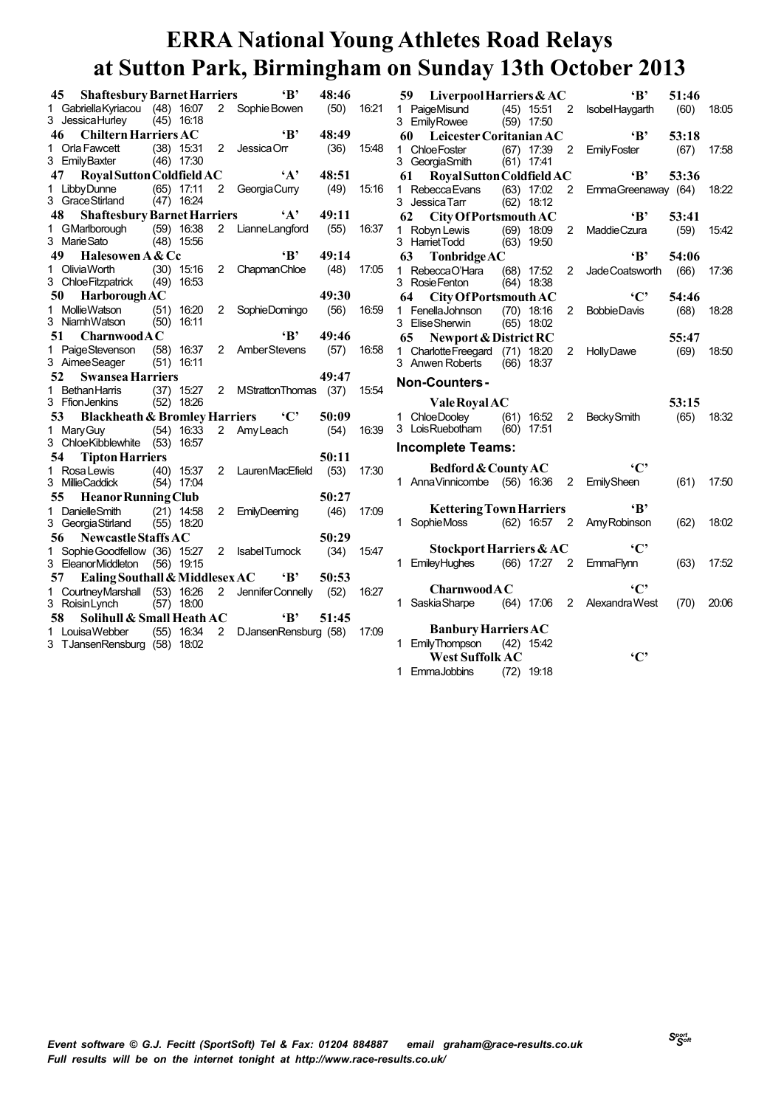| 45 | <b>Shaftesbury Barnet Harriers</b>                              |      |                              |                | $\mathbf{B}$           | 48:46 |       | $\mathbf{B}$<br>Liverpool Harriers & AC<br>59                                                                                  | 51:46 |
|----|-----------------------------------------------------------------|------|------------------------------|----------------|------------------------|-------|-------|--------------------------------------------------------------------------------------------------------------------------------|-------|
|    | 1 Gabriella Kyriacou (48) 16:07<br>3 Jessica Hurley             |      | $(45)$ 16:18                 |                | 2 Sophie Bowen         | (50)  | 16:21 | 1 PaigeMisund<br>$(45)$ 15:51<br>$\overline{\phantom{0}}^2$<br>IsobelHaygarth<br>3 EmilyRowee<br>$(59)$ 17:50                  | (60)  |
| 46 | <b>Chiltern Harriers AC</b>                                     |      |                              |                | $\mathbf{B}$           | 48:49 |       | $\mathbf{B}$<br>60<br>Leicester Coritanian AC                                                                                  | 53:18 |
|    | 1 Orla Fawcett<br>3 EmilyBaxter                                 |      | $(38)$ 15:31<br>$(46)$ 17:30 | 2              | Jessica Orr            | (36)  | 15:48 | 1 Chloe Foster<br>$(67)$ 17:39<br>2<br><b>EmilyFoster</b><br>3 Georgia Smith<br>$(61)$ 17:41                                   | (67)  |
| 47 | Royal Sutton Coldfield AC                                       |      |                              |                | $\mathbf{A}$           | 48:51 |       | $\mathbf{B}$<br>61<br>Royal Sutton Coldfield AC                                                                                | 53:36 |
|    | Libby Dunne<br>3 Grace Stirland                                 |      | $(65)$ 17:11<br>$(47)$ 16:24 |                | 2 Georgia Curry        | (49)  | 15.16 | 1 Rebecca Evans<br>$(63)$ 17:02<br>$\overline{2}$<br>EmmaGreenaway (64)<br>3 Jessica Tarr<br>$(62)$ 18:12                      |       |
| 48 | <b>Shaftesbury Barnet Harriers</b>                              |      |                              |                | $\mathbf{A}$           | 49:11 |       | 62<br>City Of Portsmouth AC<br>$\mathbf{B}$                                                                                    | 53:41 |
|    | 1 GMarlborough<br>3 Marie Sato                                  |      | $(59)$ 16:38<br>$(48)$ 15:56 |                | 2 LianneLangford       | (55)  | 16:37 | 1 Robyn Lewis<br>$(69)$ 18:09<br>$\mathbf{2}^{\circ}$<br><b>MaddieCzura</b><br>3 Harriet Todd<br>$(63)$ 19:50                  | (59)  |
| 49 | Halesowen A & Cc                                                |      |                              |                | $\mathbf{B}$           | 49:14 |       | $\mathbf{B}$<br>63<br><b>Tonbridge AC</b>                                                                                      | 54:06 |
|    | 1 OliviaWorth<br>3 Chloe Fitzpatrick                            |      | $(30)$ 15:16<br>$(49)$ 16:53 |                | 2 Chapman Chloe        | (48)  | 17:05 | 1 RebeccaO'Hara<br>$(68)$ 17:52<br>$\overline{2}$<br>Jade Coatsworth<br>3 Rosie Fenton<br>$(64)$ 18:38                         | (66)  |
| 50 | <b>Harborough AC</b>                                            |      |                              |                |                        | 49:30 |       | $\cdot$ $C$<br>City Of Portsmouth AC<br>64                                                                                     | 54:46 |
| 1. | <b>Mollie Watson</b><br>3 NiamhWatson                           |      | $(51)$ 16:20<br>$(50)$ 16:11 |                | 2 SophieDomingo        | (56)  | 16:59 | 1 Fenella Johnson<br>$(70)$ 18:16<br><b>BobbieDavis</b><br>2<br>3 Elise Sherwin<br>$(65)$ 18:02                                | (68)  |
| 51 | CharnwoodAC                                                     |      |                              |                | $\mathbf{B}$           | 49:46 |       | 65<br>Newport & District RC                                                                                                    | 55:47 |
|    | 1 PaigeStevenson<br>3 Aimee Seager                              |      | $(58)$ 16:37<br>$(51)$ 16:11 |                | 2 AmberStevens         | (57)  | 16.58 | Charlotte Freegard (71) 18:20<br>2<br><b>HollyDawe</b><br>1.<br>3 Anwen Roberts<br>$(66)$ 18:37                                | (69)  |
| 52 | <b>Swansea Harriers</b>                                         |      |                              |                |                        | 49:47 |       | <b>Non-Counters-</b>                                                                                                           |       |
|    | 1 Bethan Harris<br>3 Ffion Jenkins                              |      | $(37)$ 15:27<br>$(52)$ 18:26 |                | 2 MStrattonThomas (37) |       | 15.54 | <b>Vale Royal AC</b>                                                                                                           | 53:15 |
| 53 | <b>Blackheath &amp; Bromley Harriers C'</b>                     |      |                              |                |                        | 50:09 |       | 1 ChloeDooley<br>$(61)$ 16.52<br>2 BeckySmith                                                                                  | (65)  |
|    | 1 Mary Guy<br>3 Chloe Kibblewhite                               | (53) | $(54)$ 16:33<br>16:57        |                | 2 Amy Leach            | (54)  | 16:39 | 3 Lois Ruebotham<br>$(60)$ 17:51<br><b>Incomplete Teams:</b>                                                                   |       |
| 54 | <b>Tipton Harriers</b>                                          |      |                              |                |                        | 50:11 |       |                                                                                                                                |       |
|    | 1 Rosa Lewis<br>3 MillieCaddick                                 |      | $(40)$ 15:37<br>$(54)$ 17:04 |                | 2 LaurenMacEfield      | (53)  | 17:30 | $\cdot$ C<br>Bedford & County AC<br>1 Anna Vinnicombe (56) 16:36<br>$\overline{2}$<br><b>EmilySheen</b>                        | (61)  |
| 55 | <b>Heanor Running Club</b>                                      |      |                              |                |                        | 50:27 |       |                                                                                                                                |       |
|    | 1 Danielle Smith<br>3 Georgia Stirland                          |      | $(21)$ 14:58<br>$(55)$ 18:20 |                | 2 EmilyDeeming         | (46)  | 17:09 | $\mathbf{B}$<br><b>Kettering Town Harriers</b><br>1 SophieMoss<br>(62) 16:57 2 Amy Robinson                                    | (62)  |
| 56 | Newcastle Staffs AC                                             |      |                              |                |                        | 50:29 |       |                                                                                                                                |       |
|    |                                                                 |      |                              |                |                        |       |       |                                                                                                                                |       |
|    | 1 Sophie Goodfellow (36) 15:27<br>3 EleanorMiddleton (56) 19:15 |      |                              | 2              | <b>IsabelTumock</b>    | (34)  | 15:47 | $\cdot$ $C$<br>Stockport Harriers & AC<br>EmileyHughes<br>$(66)$ 17:27<br>$\overline{\phantom{0}}^2$<br><b>EmmaFlynn</b><br>1. | (63)  |
| 57 | Ealing Southall & Middlesex AC                                  |      |                              |                | $\mathbf{B}$           | 50:53 |       |                                                                                                                                |       |
|    | 1 CourtneyMarshall (53) 16:26<br>3 Roisin Lynch                 |      | $(57)$ 18:00                 | $\overline{2}$ | JenniferConnelly (52)  |       | 16:27 | $\cdot$ C'<br>CharnwoodAC<br>1 Saskia Sharpe<br>(64) 17:06 2 Alexandra West                                                    | (70)  |
| 58 | Solihull & Small Heath AC                                       |      |                              |                | $\mathbf{B}^{\prime}$  | 51:45 |       |                                                                                                                                |       |
|    | 1 LouisaWebber<br>3 TJansenRensburg (58) 18:02                  |      | $(55)$ 16:34                 |                | 2 DJansenRensburg (58) |       | 17:09 | <b>Banbury Harriers AC</b><br>1 EmilyThompson (42) 15:42<br>$\cdot$ C'<br><b>West Suffolk AC</b>                               |       |

*Sport Soft*

2 IsobelHaygarth (60) 18:05

1 ChloeFoster (67) 17:39 2 EmilyFoster (67) 17:58

2 MaddieCzura (59) 15:42

2 BobbieDavis (68) 18:28

17:02 2 EmmaGreenaway (64) 18:22

17:52 2 JadeCoatsworth (66) 17:36

18:20 2 HollyDawe (69) 18:50

16:52 2 BeckySmith (65) 18:32

16:36 2 EmilySheen (61) 17:50

16:57 2 AmyRobinson (62) 18:02

17:06 2 AlexandraWest (70) 20:06

EmmaFlynn (63) 17:52

1 EmmaJobbins (72) 19:18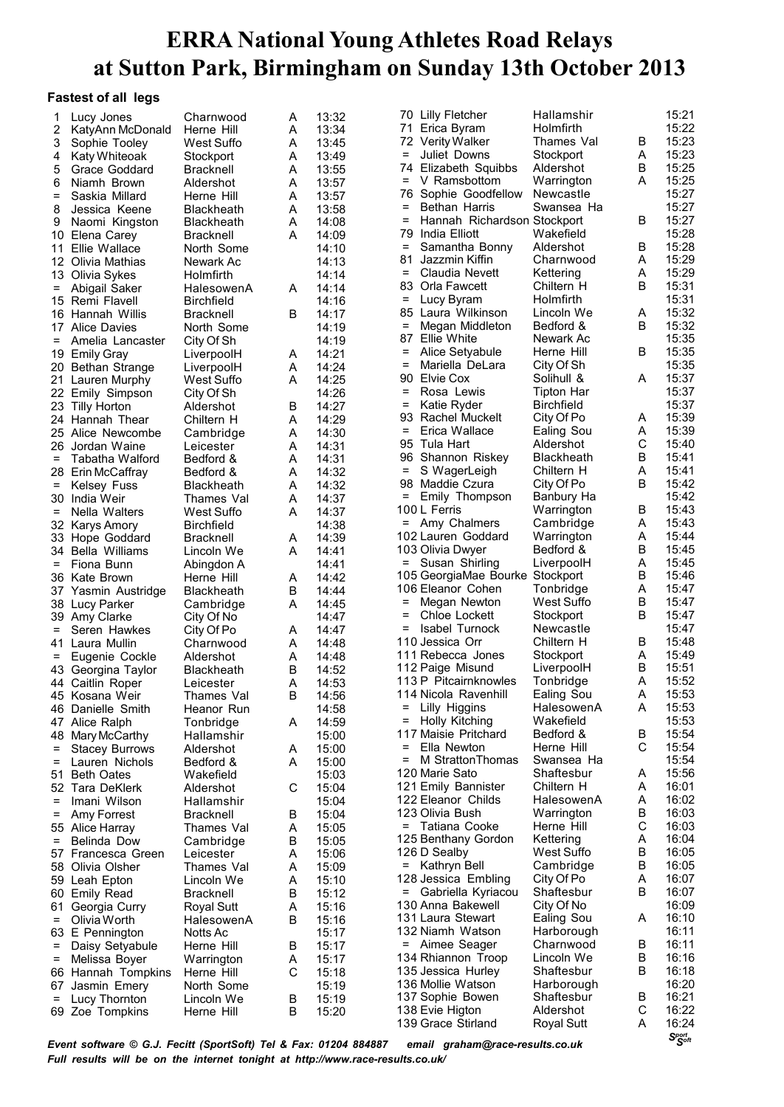#### **Fastest of all legs**

| 1                 | Lucy Jones            | Charnwood         | A | 13:32 |                   | 70 Lilly Fletcher               | Hallamshir        |   | 15:21 |
|-------------------|-----------------------|-------------------|---|-------|-------------------|---------------------------------|-------------------|---|-------|
| 2                 | KatyAnn McDonald      | Herne Hill        | Α | 13:34 |                   | 71 Erica Byram                  | Holmfirth         |   | 15:22 |
| 3                 | Sophie Tooley         | West Suffo        | Α | 13:45 |                   | 72 Verity Walker                | Thames Val        | В | 15:23 |
| 4                 | Katy Whiteoak         | Stockport         | Α | 13:49 | $=$               | Juliet Downs                    | Stockport         | A | 15:23 |
| 5                 | Grace Goddard         | <b>Bracknell</b>  | Α | 13:55 |                   | 74 Elizabeth Squibbs            | Aldershot         | В | 15:25 |
| 6                 | Niamh Brown           | Aldershot         | Α | 13:57 | $=$               | V Ramsbottom                    | Warrington        | A | 15:25 |
| $\equiv$          | Saskia Millard        | Herne Hill        | A | 13:57 | 76                | Sophie Goodfellow               | Newcastle         |   | 15:27 |
|                   |                       |                   |   |       | $=$               | Bethan Harris                   | Swansea Ha        |   | 15:27 |
| 8                 | Jessica Keene         | <b>Blackheath</b> | Α | 13:58 | $=$               |                                 |                   |   | 15:27 |
| 9                 | Naomi Kingston        | <b>Blackheath</b> | Α | 14:08 |                   | Hannah Richardson Stockport     |                   | В |       |
|                   | 10 Elena Carey        | <b>Bracknell</b>  | A | 14:09 | 79                | India Elliott                   | Wakefield         |   | 15:28 |
| 11                | Ellie Wallace         | North Some        |   | 14:10 | $=$               | Samantha Bonny                  | Aldershot         | B | 15:28 |
|                   | 12 Olivia Mathias     | Newark Ac         |   | 14:13 | 81                | Jazzmin Kiffin                  | Charnwood         | A | 15:29 |
|                   | 13 Olivia Sykes       | Holmfirth         |   | 14:14 | $=$               | Claudia Nevett                  | Kettering         | A | 15:29 |
| $=$               | Abigail Saker         | HalesowenA        | A | 14:14 | 83                | Orla Fawcett                    | Chiltern H        | В | 15:31 |
|                   | 15 Remi Flavell       | <b>Birchfield</b> |   | 14:16 | =                 | Lucy Byram                      | Holmfirth         |   | 15:31 |
|                   | 16 Hannah Willis      | <b>Bracknell</b>  | B | 14:17 |                   | 85 Laura Wilkinson              | Lincoln We        | A | 15:32 |
|                   | 17 Alice Davies       | North Some        |   | 14:19 | $\qquad \qquad =$ | Megan Middleton                 | Bedford &         | B | 15:32 |
| $=$               | Amelia Lancaster      | City Of Sh        |   | 14:19 |                   | 87 Ellie White                  | Newark Ac         |   | 15:35 |
|                   | 19 Emily Gray         | LiverpoolH        | A | 14:21 | $=$               | Alice Setyabule                 | Herne Hill        | В | 15:35 |
|                   |                       |                   | Α | 14:24 | $\qquad \qquad =$ | Mariella DeLara                 | City Of Sh        |   | 15:35 |
|                   | 20 Bethan Strange     | LiverpoolH        |   |       | 90                | Elvie Cox                       | Solihull &        | A | 15:37 |
|                   | 21 Lauren Murphy      | West Suffo        | A | 14:25 | $=$               | Rosa Lewis                      | Tipton Har        |   | 15:37 |
|                   | 22 Emily Simpson      | City Of Sh        |   | 14:26 | $\qquad \qquad =$ |                                 |                   |   |       |
|                   | 23 Tilly Horton       | Aldershot         | B | 14:27 |                   | Katie Ryder                     | <b>Birchfield</b> |   | 15:37 |
|                   | 24 Hannah Thear       | Chiltern H        | Α | 14:29 |                   | 93 Rachel Muckelt               | City Of Po        | A | 15:39 |
|                   | 25 Alice Newcombe     | Cambridge         | Α | 14:30 | $=$               | Erica Wallace                   | Ealing Sou        | A | 15:39 |
|                   | 26 Jordan Waine       | Leicester         | A | 14:31 |                   | 95 Tula Hart                    | Aldershot         | С | 15:40 |
| $=$               | Tabatha Walford       | Bedford &         | Α | 14:31 |                   | 96 Shannon Riskey               | Blackheath        | B | 15:41 |
|                   | 28 Erin McCaffray     | Bedford &         | A | 14:32 | $=$               | S WagerLeigh                    | Chiltern H        | A | 15:41 |
| $=$               | <b>Kelsey Fuss</b>    | <b>Blackheath</b> | Α | 14:32 | 98                | Maddie Czura                    | City Of Po        | B | 15:42 |
| 30                | India Weir            | Thames Val        | Α | 14:37 | Ξ.                | Emily Thompson                  | Banbury Ha        |   | 15:42 |
| $\qquad \qquad =$ | Nella Walters         | West Suffo        | A | 14:37 |                   | 100 L Ferris                    | Warrington        | В | 15:43 |
|                   | 32 Karys Amory        | <b>Birchfield</b> |   | 14:38 | $=$               | Amy Chalmers                    | Cambridge         | A | 15:43 |
|                   | 33 Hope Goddard       | <b>Bracknell</b>  | A | 14:39 |                   | 102 Lauren Goddard              | Warrington        | A | 15:44 |
|                   |                       |                   | A | 14:41 |                   | 103 Olivia Dwyer                | Bedford &         | В | 15:45 |
|                   | 34 Bella Williams     | Lincoln We        |   |       | $\qquad \qquad =$ | Susan Shirling                  | LiverpoolH        | A | 15:45 |
| $\equiv$          | Fiona Bunn            | Abingdon A        |   | 14:41 |                   |                                 |                   |   |       |
|                   | 36 Kate Brown         | Herne Hill        | Α | 14:42 |                   | 105 GeorgiaMae Bourke Stockport |                   | В | 15:46 |
|                   | 37 Yasmin Austridge   | <b>Blackheath</b> | В | 14:44 |                   | 106 Eleanor Cohen               | Tonbridge         | A | 15:47 |
|                   | 38 Lucy Parker        | Cambridge         | A | 14:45 | $\qquad \qquad =$ | Megan Newton                    | West Suffo        | В | 15:47 |
|                   | 39 Amy Clarke         | City Of No        |   | 14:47 | $=$               | Chloe Lockett                   | Stockport         | В | 15:47 |
| $\equiv$          | Seren Hawkes          | City Of Po        | A | 14:47 | =                 | Isabel Turnock                  | Newcastle         |   | 15:47 |
| 41                | Laura Mullin          | Charnwood         | A | 14:48 |                   | 110 Jessica Orr                 | Chiltern H        | B | 15:48 |
| $=$               | Eugenie Cockle        | Aldershot         | A | 14:48 |                   | 111 Rebecca Jones               | Stockport         | A | 15:49 |
|                   | 43 Georgina Taylor    | <b>Blackheath</b> | B | 14:52 |                   | 112 Paige Misund                | LiverpoolH        | В | 15:51 |
|                   | 44 Caitlin Roper      | Leicester         | A | 14:53 |                   | 113 P Pitcairnknowles           | Tonbridge         | A | 15:52 |
|                   | 45 Kosana Weir        | Thames Val        | В | 14:56 |                   | 114 Nicola Ravenhill            | Ealing Sou        | Α | 15:53 |
|                   | 46 Danielle Smith     | Heanor Run        |   | 14:58 | Ξ.                | Lilly Higgins                   | HalesowenA        | A | 15:53 |
|                   | 47 Alice Ralph        | Tonbridge         | A | 14:59 | =                 | <b>Holly Kitching</b>           | Wakefield         |   | 15:53 |
|                   | 48 Mary McCarthy      | Hallamshir        |   | 15:00 |                   | 117 Maisie Pritchard            | Bedford &         | В | 15:54 |
| $=$               | <b>Stacey Burrows</b> |                   |   |       | =                 | Ella Newton                     | Herne Hill        | С | 15:54 |
|                   |                       | Aldershot         | A | 15:00 | $\qquad \qquad =$ | M Stratton Thomas               | Swansea Ha        |   | 15:54 |
| =                 | Lauren Nichols        | Bedford &         | A | 15:00 |                   |                                 | Shaftesbur        |   | 15:56 |
|                   | 51 Beth Oates         | Wakefield         |   | 15:03 |                   | 120 Marie Sato                  |                   | A |       |
|                   | 52 Tara DeKlerk       | Aldershot         | С | 15:04 |                   | 121 Emily Bannister             | Chiltern H        | A | 16:01 |
| Ξ                 | Imani Wilson          | Hallamshir        |   | 15:04 |                   | 122 Eleanor Childs              | HalesowenA        | A | 16:02 |
| Ξ                 | Amy Forrest           | <b>Bracknell</b>  | B | 15:04 |                   | 123 Olivia Bush                 | Warrington        | В | 16:03 |
|                   | 55 Alice Harray       | Thames Val        | A | 15:05 |                   | = Tatiana Cooke                 | Herne Hill        | С | 16:03 |
| $=$               | Belinda Dow           | Cambridge         | В | 15:05 |                   | 125 Benthany Gordon             | Kettering         | A | 16:04 |
|                   | 57 Francesca Green    | Leicester         | A | 15:06 |                   | 126 D Sealby                    | West Suffo        | В | 16:05 |
|                   | 58 Olivia Olsher      | Thames Val        | A | 15:09 |                   | = Kathryn Bell                  | Cambridge         | В | 16:05 |
|                   | 59 Leah Epton         | Lincoln We        | A | 15:10 |                   | 128 Jessica Embling             | City Of Po        | A | 16:07 |
|                   | 60 Emily Read         | <b>Bracknell</b>  | В | 15:12 |                   | = Gabriella Kyriacou            | Shaftesbur        | В | 16:07 |
|                   | 61 Georgia Curry      | Royal Sutt        | A | 15:16 |                   | 130 Anna Bakewell               | City Of No        |   | 16:09 |
| $=$               | Olivia Worth          | HalesowenA        | В | 15:16 |                   | 131 Laura Stewart               | Ealing Sou        | A | 16:10 |
|                   |                       |                   |   |       |                   | 132 Niamh Watson                | Harborough        |   | 16:11 |
|                   | 63 E Pennington       | Notts Ac          |   | 15:17 |                   | = Aimee Seager                  | Charnwood         | В | 16:11 |
| $\equiv$          | Daisy Setyabule       | Herne Hill        | В | 15:17 |                   |                                 | Lincoln We        | В | 16:16 |
| =                 | Melissa Boyer         | Warrington        | A | 15:17 |                   | 134 Rhiannon Troop              |                   |   |       |
|                   | 66 Hannah Tompkins    | Herne Hill        | С | 15:18 |                   | 135 Jessica Hurley              | Shaftesbur        | В | 16:18 |
|                   | 67 Jasmin Emery       | North Some        |   | 15:19 |                   | 136 Mollie Watson               | Harborough        |   | 16:20 |
| $=$               | Lucy Thornton         | Lincoln We        | В | 15:19 |                   | 137 Sophie Bowen                | Shaftesbur        | В | 16:21 |
|                   | 69 Zoe Tompkins       | Herne Hill        | В | 15:20 |                   | 138 Evie Higton                 | Aldershot         | С | 16:22 |
|                   |                       |                   |   |       |                   | 139 Grace Stirland              | Royal Sutt        | A | 16:24 |

*Sport Soft*

*Event software © G.J. Fecitt (SportSoft) Tel & Fax: 01204 884887 email graham@race-results.co.uk Full results will be on the internet tonight at http://www.race-results.co.uk/*